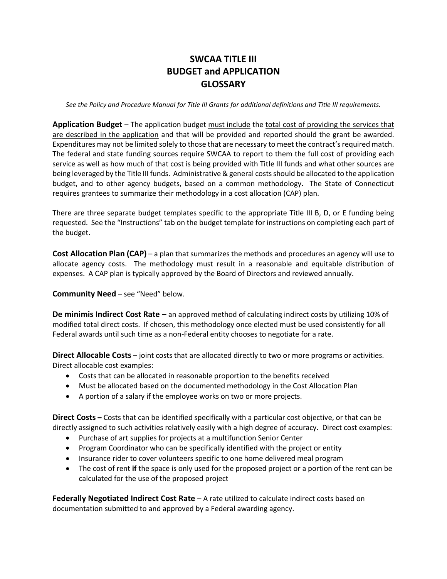## **SWCAA TITLE III BUDGET and APPLICATION GLOSSARY**

*See the Policy and Procedure Manual for Title III Grants for additional definitions and Title III requirements.*

**Application Budget** – The application budget must include the total cost of providing the services that are described in the application and that will be provided and reported should the grant be awarded. Expenditures may not be limited solely to those that are necessary to meet the contract's required match. The federal and state funding sources require SWCAA to report to them the full cost of providing each service as well as how much of that cost is being provided with Title III funds and what other sources are being leveraged by the Title III funds. Administrative & general costs should be allocated to the application budget, and to other agency budgets, based on a common methodology. The State of Connecticut requires grantees to summarize their methodology in a cost allocation (CAP) plan.

There are three separate budget templates specific to the appropriate Title III B, D, or E funding being requested. See the "Instructions" tab on the budget template for instructions on completing each part of the budget.

**Cost Allocation Plan (CAP)** – a plan that summarizes the methods and procedures an agency will use to allocate agency costs. The methodology must result in a reasonable and equitable distribution of expenses. A CAP plan is typically approved by the Board of Directors and reviewed annually.

**Community Need** – see "Need" below.

**De minimis Indirect Cost Rate –** an approved method of calculating indirect costs by utilizing 10% of modified total direct costs. If chosen, this methodology once elected must be used consistently for all Federal awards until such time as a non-Federal entity chooses to negotiate for a rate.

**Direct Allocable Costs** – joint costs that are allocated directly to two or more programs or activities. Direct allocable cost examples:

- Costs that can be allocated in reasonable proportion to the benefits received
- Must be allocated based on the documented methodology in the Cost Allocation Plan
- A portion of a salary if the employee works on two or more projects.

**Direct Costs –** Costs that can be identified specifically with a particular cost objective, or that can be directly assigned to such activities relatively easily with a high degree of accuracy. Direct cost examples:

- Purchase of art supplies for projects at a multifunction Senior Center
- Program Coordinator who can be specifically identified with the project or entity
- Insurance rider to cover volunteers specific to one home delivered meal program
- The cost of rent **if** the space is only used for the proposed project or a portion of the rent can be calculated for the use of the proposed project

**Federally Negotiated Indirect Cost Rate** – A rate utilized to calculate indirect costs based on documentation submitted to and approved by a Federal awarding agency.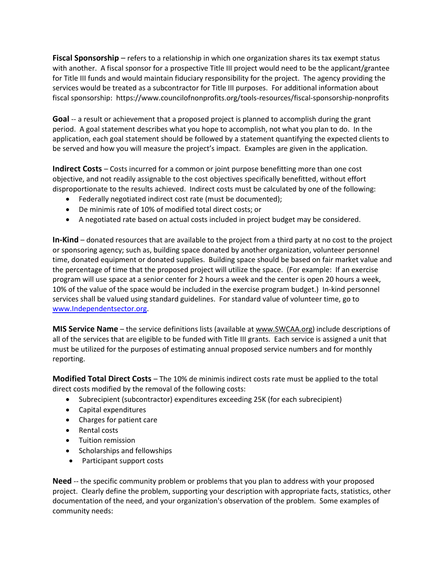**Fiscal Sponsorship** – refers to a relationship in which one organization shares its tax exempt status with another. A fiscal sponsor for a prospective Title III project would need to be the applicant/grantee for Title III funds and would maintain fiduciary responsibility for the project. The agency providing the services would be treated as a subcontractor for Title III purposes. For additional information about fiscal sponsorship: https://www.councilofnonprofits.org/tools-resources/fiscal-sponsorship-nonprofits

**Goal** -- a result or achievement that a proposed project is planned to accomplish during the grant period. A goal statement describes what you hope to accomplish, not what you plan to do. In the application, each goal statement should be followed by a statement quantifying the expected clients to be served and how you will measure the project's impact. Examples are given in the application.

**Indirect Costs** – Costs incurred for a common or joint purpose benefitting more than one cost objective, and not readily assignable to the cost objectives specifically benefitted, without effort disproportionate to the results achieved. Indirect costs must be calculated by one of the following:

- Federally negotiated indirect cost rate (must be documented);
- De minimis rate of 10% of modified total direct costs; or
- A negotiated rate based on actual costs included in project budget may be considered.

**In-Kind** – donated resources that are available to the project from a third party at no cost to the project or sponsoring agency; such as, building space donated by another organization, volunteer personnel time, donated equipment or donated supplies. Building space should be based on fair market value and the percentage of time that the proposed project will utilize the space. (For example: If an exercise program will use space at a senior center for 2 hours a week and the center is open 20 hours a week, 10% of the value of the space would be included in the exercise program budget.) In-kind personnel services shall be valued using standard guidelines. For standard value of volunteer time, go to [www.Independentsector.org.](http://www.independentsector.org/)

**MIS Service Name** – the service definitions lists (available at www.SWCAA.org) include descriptions of all of the services that are eligible to be funded with Title III grants. Each service is assigned a unit that must be utilized for the purposes of estimating annual proposed service numbers and for monthly reporting.

**Modified Total Direct Costs** – The 10% de minimis indirect costs rate must be applied to the total direct costs modified by the removal of the following costs:

- Subrecipient (subcontractor) expenditures exceeding 25K (for each subrecipient)
- Capital expenditures
- Charges for patient care
- Rental costs
- Tuition remission
- Scholarships and fellowships
- Participant support costs

**Need** -- the specific community problem or problems that you plan to address with your proposed project. Clearly define the problem, supporting your description with appropriate facts, statistics, other documentation of the need, and your organization's observation of the problem. Some examples of community needs: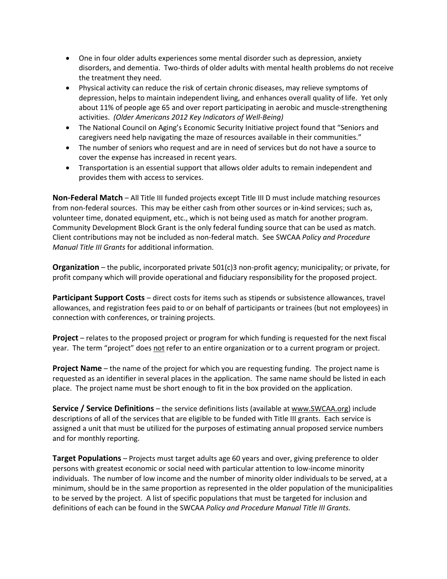- One in four older adults experiences some mental disorder such as depression, anxiety disorders, and dementia. Two-thirds of older adults with mental health problems do not receive the treatment they need.
- Physical activity can reduce the risk of certain chronic diseases, may relieve symptoms of depression, helps to maintain independent living, and enhances overall quality of life. Yet only about 11% of people age 65 and over report participating in aerobic and muscle-strengthening activities. *(Older Americans 2012 Key Indicators of Well-Being)*
- The National Council on Aging's Economic Security Initiative project found that "Seniors and caregivers need help navigating the maze of resources available in their communities."
- The number of seniors who request and are in need of services but do not have a source to cover the expense has increased in recent years.
- Transportation is an essential support that allows older adults to remain independent and provides them with access to services.

**Non-Federal Match** – All Title III funded projects except Title III D must include matching resources from non-federal sources. This may be either cash from other sources or in-kind services; such as, volunteer time, donated equipment, etc., which is not being used as match for another program. Community Development Block Grant is the only federal funding source that can be used as match. Client contributions may not be included as non-federal match. See SWCAA *Policy and Procedure Manual Title III Grants* for additional information.

**Organization** – the public, incorporated private 501(c)3 non-profit agency; municipality; or private, for profit company which will provide operational and fiduciary responsibility for the proposed project.

**Participant Support Costs** – direct costs for items such as stipends or subsistence allowances, travel allowances, and registration fees paid to or on behalf of participants or trainees (but not employees) in connection with conferences, or training projects.

**Project** – relates to the proposed project or program for which funding is requested for the next fiscal year. The term "project" does not refer to an entire organization or to a current program or project.

**Project Name** – the name of the project for which you are requesting funding. The project name is requested as an identifier in several places in the application. The same name should be listed in each place. The project name must be short enough to fit in the box provided on the application.

**Service / Service Definitions** – the service definitions lists (available at www.SWCAA.org) include descriptions of all of the services that are eligible to be funded with Title III grants. Each service is assigned a unit that must be utilized for the purposes of estimating annual proposed service numbers and for monthly reporting.

**Target Populations** – Projects must target adults age 60 years and over, giving preference to older persons with greatest economic or social need with particular attention to low-income minority individuals. The number of low income and the number of minority older individuals to be served, at a minimum, should be in the same proportion as represented in the older population of the municipalities to be served by the project. A list of specific populations that must be targeted for inclusion and definitions of each can be found in the SWCAA *Policy and Procedure Manual Title III Grants.*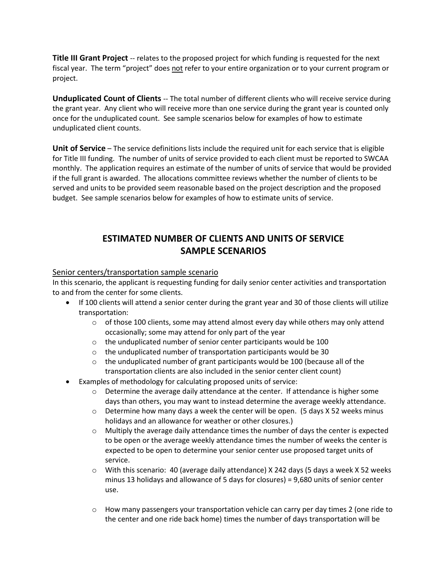**Title III Grant Project** -- relates to the proposed project for which funding is requested for the next fiscal year. The term "project" does not refer to your entire organization or to your current program or project.

**Unduplicated Count of Clients** -- The total number of different clients who will receive service during the grant year. Any client who will receive more than one service during the grant year is counted only once for the unduplicated count. See sample scenarios below for examples of how to estimate unduplicated client counts.

**Unit of Service** – The service definitions lists include the required unit for each service that is eligible for Title III funding. The number of units of service provided to each client must be reported to SWCAA monthly. The application requires an estimate of the number of units of service that would be provided if the full grant is awarded. The allocations committee reviews whether the number of clients to be served and units to be provided seem reasonable based on the project description and the proposed budget. See sample scenarios below for examples of how to estimate units of service.

## **ESTIMATED NUMBER OF CLIENTS AND UNITS OF SERVICE SAMPLE SCENARIOS**

## Senior centers/transportation sample scenario

In this scenario, the applicant is requesting funding for daily senior center activities and transportation to and from the center for some clients.

- If 100 clients will attend a senior center during the grant year and 30 of those clients will utilize transportation:
	- $\circ$  of those 100 clients, some may attend almost every day while others may only attend occasionally; some may attend for only part of the year
	- o the unduplicated number of senior center participants would be 100
	- $\circ$  the unduplicated number of transportation participants would be 30
	- o the unduplicated number of grant participants would be 100 (because all of the transportation clients are also included in the senior center client count)
- Examples of methodology for calculating proposed units of service:
	- $\circ$  Determine the average daily attendance at the center. If attendance is higher some days than others, you may want to instead determine the average weekly attendance.
	- $\circ$  Determine how many days a week the center will be open. (5 days X 52 weeks minus holidays and an allowance for weather or other closures.)
	- $\circ$  Multiply the average daily attendance times the number of days the center is expected to be open or the average weekly attendance times the number of weeks the center is expected to be open to determine your senior center use proposed target units of service.
	- o With this scenario: 40 (average daily attendance) X 242 days (5 days a week X 52 weeks minus 13 holidays and allowance of 5 days for closures) = 9,680 units of senior center use.
	- $\circ$  How many passengers your transportation vehicle can carry per day times 2 (one ride to the center and one ride back home) times the number of days transportation will be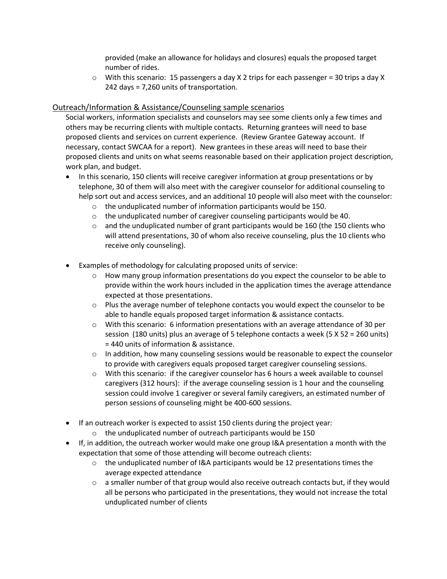provided (make an allowance for holidays and closures) equals the proposed target number of rides.

o With this scenario: 15 passengers a day X 2 trips for each passenger = 30 trips a day X 242 days = 7,260 units of transportation.

## Outreach/Information & Assistance/Counseling sample scenarios

Social workers, information specialists and counselors may see some clients only a few times and others may be recurring clients with multiple contacts. Returning grantees will need to base proposed clients and services on current experience. (Review Grantee Gateway account. If necessary, contact SWCAA for a report). New grantees in these areas will need to base their proposed clients and units on what seems reasonable based on their application project description, work plan, and budget.

- In this scenario, 150 clients will receive caregiver information at group presentations or by telephone, 30 of them will also meet with the caregiver counselor for additional counseling to help sort out and access services, and an additional 10 people will also meet with the counselor:
	- o the unduplicated number of information participants would be 150.
	- o the unduplicated number of caregiver counseling participants would be 40.
	- $\circ$  and the unduplicated number of grant participants would be 160 (the 150 clients who will attend presentations, 30 of whom also receive counseling, plus the 10 clients who receive only counseling).
- Examples of methodology for calculating proposed units of service:
	- $\circ$  How many group information presentations do you expect the counselor to be able to provide within the work hours included in the application times the average attendance expected at those presentations.
	- $\circ$  Plus the average number of telephone contacts you would expect the counselor to be able to handle equals proposed target information & assistance contacts.
	- o With this scenario: 6 information presentations with an average attendance of 30 per session (180 units) plus an average of 5 telephone contacts a week (5 X 52 = 260 units) = 440 units of information & assistance.
	- $\circ$  In addition, how many counseling sessions would be reasonable to expect the counselor to provide with caregivers equals proposed target caregiver counseling sessions.
	- o With this scenario: if the caregiver counselor has 6 hours a week available to counsel caregivers (312 hours): if the average counseling session is 1 hour and the counseling session could involve 1 caregiver or several family caregivers, an estimated number of person sessions of counseling might be 400-600 sessions.
- If an outreach worker is expected to assist 150 clients during the project year:
	- o the unduplicated number of outreach participants would be 150
- If, in addition, the outreach worker would make one group I&A presentation a month with the expectation that some of those attending will become outreach clients:
	- $\circ$  the unduplicated number of I&A participants would be 12 presentations times the average expected attendance
	- $\circ$  a smaller number of that group would also receive outreach contacts but, if they would all be persons who participated in the presentations, they would not increase the total unduplicated number of clients